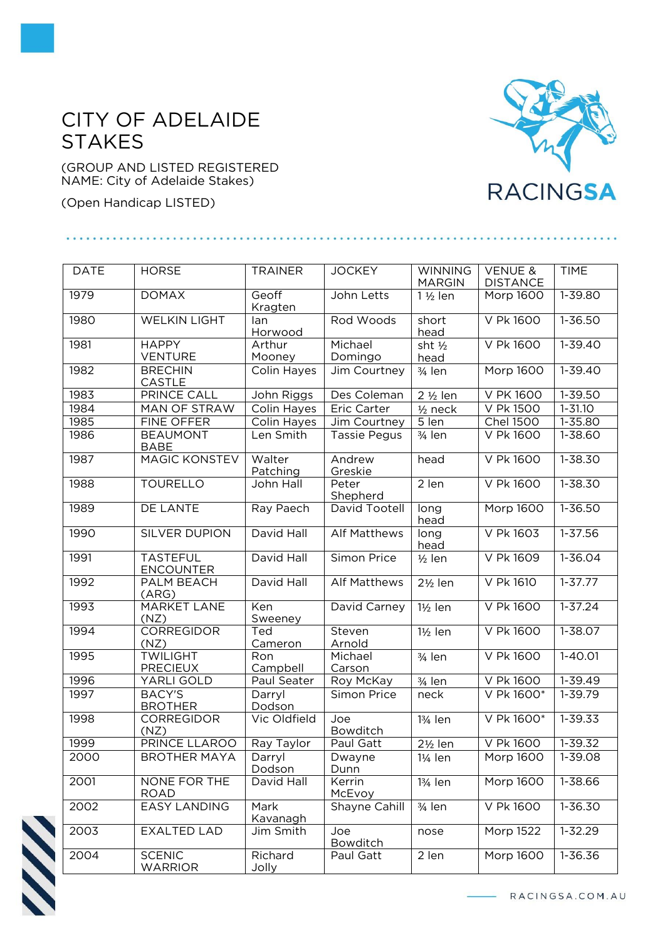## CITY OF ADELAIDE STAKES

(GROUP AND LISTED REGISTERED NAME: City of Adelaide Stakes)

(Open Handicap LISTED)

## **RACINGSA**

| <b>DATE</b> | <b>HORSE</b>                        | <b>TRAINER</b>          | <b>JOCKEY</b>       | <b>WINNING</b><br><b>MARGIN</b> | <b>VENUE &amp;</b><br><b>DISTANCE</b> | <b>TIME</b> |
|-------------|-------------------------------------|-------------------------|---------------------|---------------------------------|---------------------------------------|-------------|
| 1979        | <b>DOMAX</b>                        | Geoff<br>Kragten        | John Letts          | $1\frac{1}{2}$ len              | Morp 1600                             | $1 - 39.80$ |
| 1980        | <b>WELKIN LIGHT</b>                 | lan<br>Horwood          | Rod Woods           | short<br>head                   | V Pk 1600                             | $1 - 36.50$ |
| 1981        | <b>HAPPY</b><br><b>VENTURE</b>      | Arthur<br>Mooney        | Michael<br>Domingo  | sht $\frac{1}{2}$<br>head       | V Pk 1600                             | $1 - 39.40$ |
| 1982        | <b>BRECHIN</b><br>CASTLE            | Colin Hayes             | Jim Courtney        | $\frac{3}{4}$ len               | <b>Morp 1600</b>                      | $1 - 39.40$ |
| 1983        | <b>PRINCE CALL</b>                  | John Riggs              | Des Coleman         | 2 1/2 len                       | V PK 1600                             | 1-39.50     |
| 1984        | <b>MAN OF STRAW</b>                 | Colin Hayes             | <b>Eric Carter</b>  | $1/2$ neck                      | V Pk 1500                             | $1 - 31.10$ |
| 1985        | FINE OFFER                          | Colin Hayes             | Jim Courtney        | $\overline{5}$ len              | <b>Chel 1500</b>                      | $1 - 35.80$ |
| 1986        | <b>BEAUMONT</b><br><b>BABE</b>      | Len Smith               | <b>Tassie Pegus</b> | 3/4 len                         | V Pk 1600                             | 1-38.60     |
| 1987        | <b>MAGIC KONSTEV</b>                | Walter<br>Patching      | Andrew<br>Greskie   | head                            | V Pk 1600                             | $1 - 38.30$ |
| 1988        | <b>TOURELLO</b>                     | John Hall               | Peter<br>Shepherd   | $2$ len                         | V Pk 1600                             | 1-38.30     |
| 1989        | <b>DE LANTE</b>                     | Ray Paech               | David Tootell       | long<br>head                    | Morp 1600                             | $1 - 36.50$ |
| 1990        | SILVER DUPION                       | David Hall              | <b>Alf Matthews</b> | long<br>head                    | V Pk 1603                             | $1 - 37.56$ |
| 1991        | <b>TASTEFUL</b><br><b>ENCOUNTER</b> | David Hall              | Simon Price         | $1/2$ len                       | V Pk 1609                             | 1-36.04     |
| 1992        | PALM BEACH<br>(ARG)                 | David Hall              | <b>Alf Matthews</b> | $2\frac{1}{2}$ len              | V Pk 1610                             | $1 - 37.77$ |
| 1993        | <b>MARKET LANE</b><br>(NZ)          | Ken<br>Sweeney          | David Carney        | $1\frac{1}{2}$ len              | V Pk 1600                             | $1 - 37.24$ |
| 1994        | <b>CORREGIDOR</b><br>(NZ)           | Ted<br>Cameron          | Steven<br>Arnold    | 1½ len                          | V Pk 1600                             | $1 - 38.07$ |
| 1995        | <b>TWILIGHT</b><br><b>PRECIEUX</b>  | Ron<br>Campbell         | Michael<br>Carson   | $3/4$ len                       | V Pk 1600                             | $1 - 40.01$ |
| 1996        | YARLI GOLD                          | Paul Seater             | Roy McKay           | 3/ <sub>4</sub> len             | V Pk 1600                             | $1 - 39.49$ |
| 1997        | <b>BACY'S</b><br><b>BROTHER</b>     | Darryl<br>Dodson        | Simon Price         | neck                            | V Pk 1600*                            | 1-39.79     |
| 1998        | CORREGIDOR<br>(NZ)                  | Vic Oldfield            | Joe<br>Bowditch     | 13/ <sub>4</sub> len            | V Pk 1600*                            | $1 - 39.33$ |
| 1999        | PRINCE LLAROO                       | Ray Taylor              | Paul Gatt           | $2\frac{1}{2}$ len              | V Pk 1600                             | $1 - 39.32$ |
| 2000        | <b>BROTHER MAYA</b>                 | Darryl<br>Dodson        | Dwayne<br>Dunn      | 11/ <sub>4</sub> len            | Morp 1600                             | 1-39.08     |
| 2001        | NONE FOR THE<br>ROAD                | David Hall              | Kerrin<br>McEvoy    | 13⁄4 len                        | Morp 1600                             | 1-38.66     |
| 2002        | <b>EASY LANDING</b>                 | Mark<br><u>Kavanagh</u> | Shayne Cahill       | $3/4$ len                       | V Pk 1600                             | 1-36.30     |
| 2003        | <b>EXALTED LAD</b>                  | Jim Smith               | Joe<br>Bowditch     | nose                            | Morp 1522                             | $1 - 32.29$ |
| 2004        | <b>SCENIC</b><br><b>WARRIOR</b>     | Richard<br>Jolly        | Paul Gatt           | 2 len                           | Morp 1600                             | 1-36.36     |



RACINGSA.COM.AU